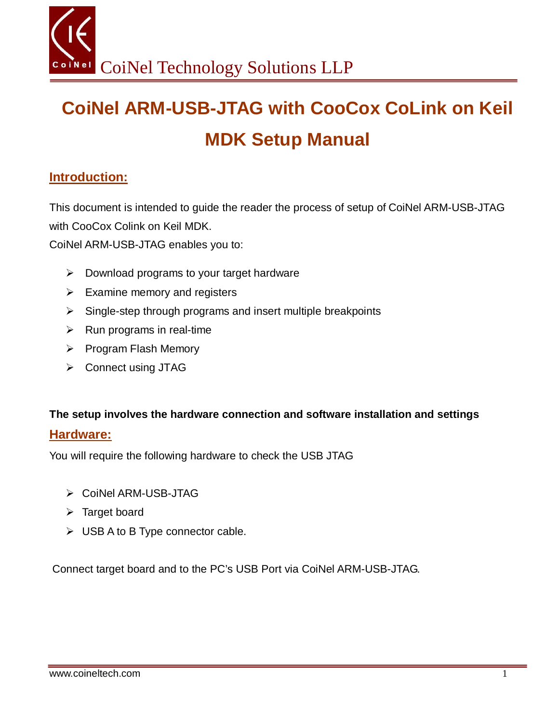# **CoiNel ARM-USB-JTAG with CooCox CoLink on Keil MDK Setup Manual**

### **Introduction:**

This document is intended to guide the reader the process of setup of CoiNel ARM-USB-JTAG with CooCox Colink on Keil MDK.

CoiNel ARM-USB-JTAG enables you to:

- $\triangleright$  Download programs to your target hardware
- $\triangleright$  Examine memory and registers
- $\triangleright$  Single-step through programs and insert multiple breakpoints
- $\triangleright$  Run programs in real-time
- $\triangleright$  Program Flash Memory
- **▶ Connect using JTAG**

## **The setup involves the hardware connection and software installation and settings**

#### **Hardware:**

You will require the following hardware to check the USB JTAG

- CoiNel ARM-USB-JTAG
- $\triangleright$  Target board
- $\triangleright$  USB A to B Type connector cable.

Connect target board and to the PC's USB Port via CoiNel ARM-USB-JTAG.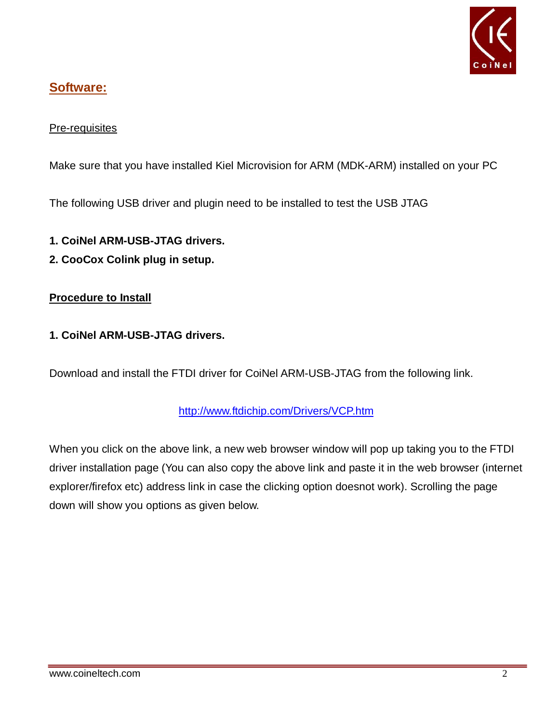

## **Software:**

#### Pre-requisites

Make sure that you have installed Kiel Microvision for ARM (MDK-ARM) installed on your PC

The following USB driver and plugin need to be installed to test the USB JTAG

- **1. CoiNel ARM-USB-JTAG drivers.**
- **2. CooCox Colink plug in setup.**

#### **Procedure to Install**

#### **1. CoiNel ARM-USB-JTAG drivers.**

Download and install the FTDI driver for CoiNel ARM-USB-JTAG from the following link.

#### http://www.ftdichip.com/Drivers/VCP.htm

When you click on the above link, a new web browser window will pop up taking you to the FTDI driver installation page (You can also copy the above link and paste it in the web browser (internet explorer/firefox etc) address link in case the clicking option doesnot work). Scrolling the page down will show you options as given below.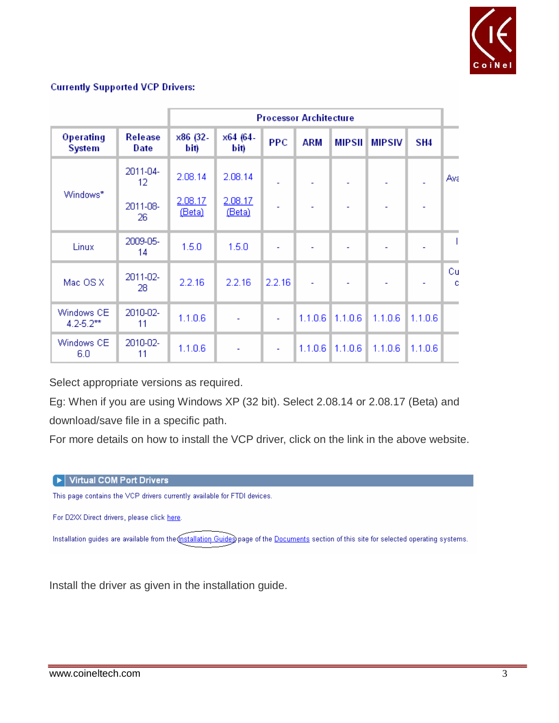

#### **Currently Supported VCP Drivers:**

|                              |                        |                   | <b>Processor Architecture</b> |            |            |                     |               |                 |         |
|------------------------------|------------------------|-------------------|-------------------------------|------------|------------|---------------------|---------------|-----------------|---------|
| Operating<br><b>System</b>   | <b>Release</b><br>Date | x86 (32-<br>bit)  | x64 (64-<br>bit)              | <b>PPC</b> | <b>ARM</b> | <b>MIPSII</b>       | <b>MIPSIV</b> | SH <sub>4</sub> |         |
|                              | 2011-04-<br>12         | 2.08.14           | 2.08.14                       |            |            |                     |               |                 | Ava     |
| Windows*                     | 2011-08-<br>26.        | 2.08.17<br>(Beta) | 2.08.17<br>(Beta)             | ٠          |            |                     |               |                 |         |
| Linux                        | 2009-05-<br>14         | 1.5.0             | 1.5.0                         |            |            |                     |               |                 |         |
| Mac OS X                     | 2011-02-<br>28.        | 2.2.16            | 2.2.16                        | 2.2.16     | ä,         |                     |               |                 | Cu<br>c |
| Windows CE<br>$4.2 - 5.2$ ** | 2010-02-<br>11         | 1.1.0.6           | ÷,                            | ä,         |            | $1.1.0.6$   1.1.0.6 | 1.1.0.6       | 1.1.0.6         |         |
| Windows CE<br>6.0            | 2010-02-<br>11         | 1.1.0.6           | ÷                             | ÷,         | 1.1.0.6    | 11.1.06             | 1.1.0.6       | 1.1.0.6         |         |

Select appropriate versions as required.

Eg: When if you are using Windows XP (32 bit). Select 2.08.14 or 2.08.17 (Beta) and download/save file in a specific path.

For more details on how to install the VCP driver, click on the link in the above website.

#### I Virtual COM Port Drivers

This page contains the VCP drivers currently available for FTDI devices.

For D2XX Direct drivers, please click here.

Installation guides are available from the Installation Guides page of the Documents section of this site for selected operating systems.

Install the driver as given in the installation guide.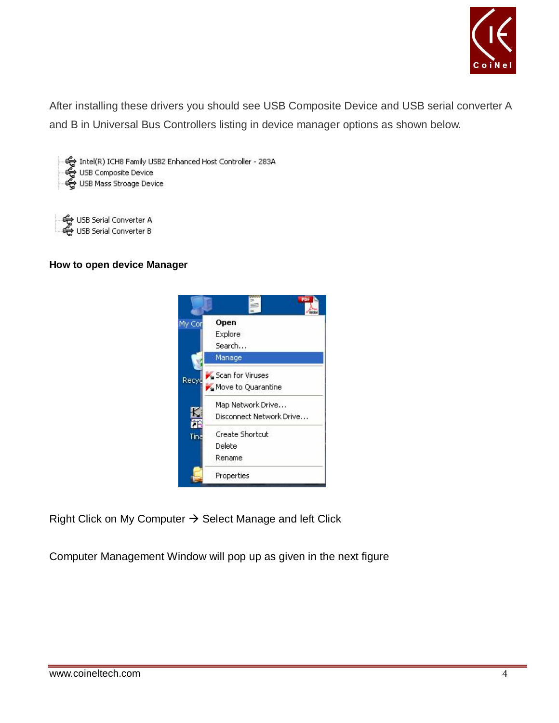

After installing these drivers you should see USB Composite Device and USB serial converter A and B in Universal Bus Controllers listing in device manager options as shown below.

Intel(R) ICH8 Family USB2 Enhanced Host Controller - 283A <Composite Device<br>← USB Composite Device

← USB Serial Converter A<br>← USB Serial Converter B

#### **How to open device Manager**



Right Click on My Computer  $\rightarrow$  Select Manage and left Click

Computer Management Window will pop up as given in the next figure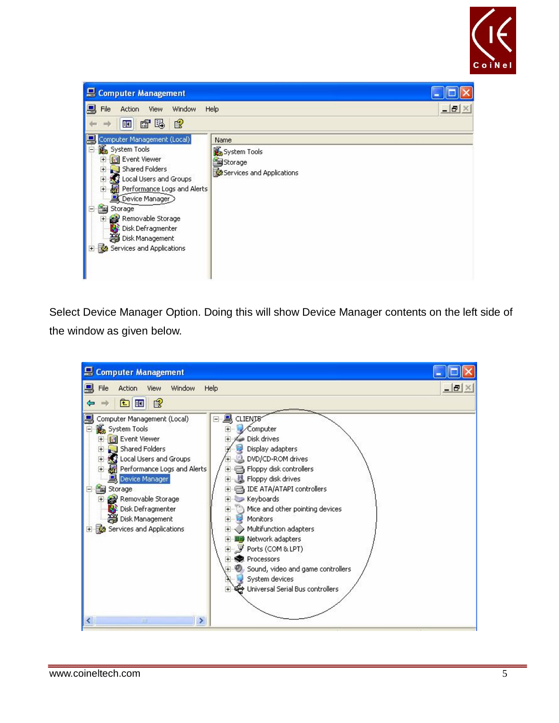



Select Device Manager Option. Doing this will show Device Manager contents on the left side of the window as given below.

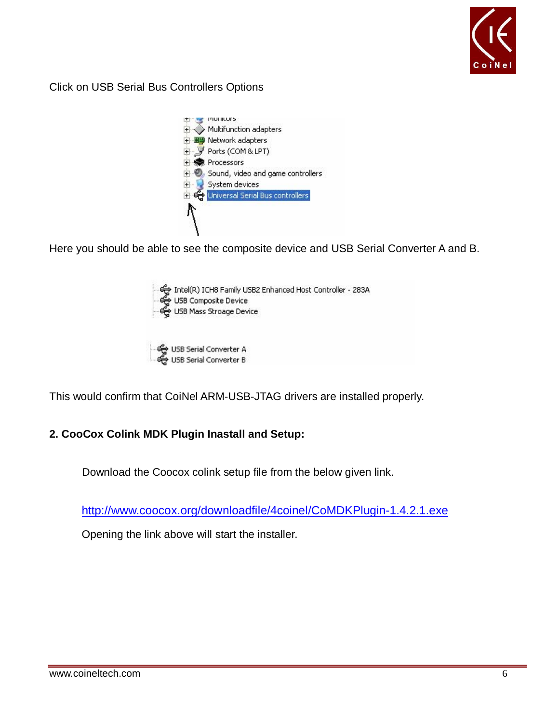

Click on USB Serial Bus Controllers Options



Here you should be able to see the composite device and USB Serial Converter A and B.



This would confirm that CoiNel ARM-USB-JTAG drivers are installed properly.

#### **2. CooCox Colink MDK Plugin Inastall and Setup:**

Download the Coocox colink setup file from the below given link.

http://www.coocox.org/downloadfile/4coinel/CoMDKPlugin-1.4.2.1.exe

Opening the link above will start the installer.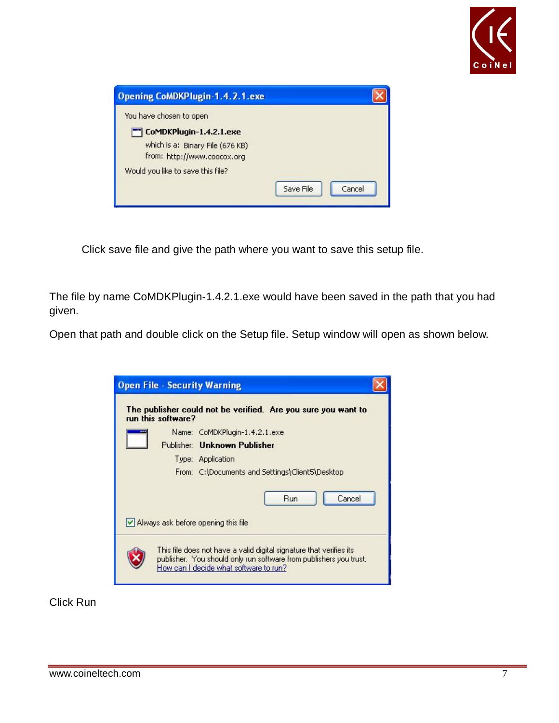

| <b>Opening CoMDKPlugin-1.4.2.1.exe</b> |           |        |
|----------------------------------------|-----------|--------|
| You have chosen to open                |           |        |
| CoMDKPlugin-1.4.2.1.exe                |           |        |
| which is a: Binary File (676 KB)       |           |        |
| from: http://www.coocox.org            |           |        |
| Would you like to save this file?      |           |        |
|                                        | Save File | Cancel |

Click save file and give the path where you want to save this setup file.

The file by name CoMDKPlugin-1.4.2.1.exe would have been saved in the path that you had given.

Open that path and double click on the Setup file. Setup window will open as shown below.

| <b>Open File - Security Warning</b>                                                                                                                                                 |
|-------------------------------------------------------------------------------------------------------------------------------------------------------------------------------------|
| The publisher could not be verified. Are you sure you want to<br>run this software?                                                                                                 |
| Name: CoMDKPlugin-1.4.2.1.exe                                                                                                                                                       |
| Publisher: Unknown Publisher                                                                                                                                                        |
| Type: Application                                                                                                                                                                   |
| From: C:\Documents and Settings\Client5\Desktop                                                                                                                                     |
| Cancel<br><b>Run</b>                                                                                                                                                                |
| $\vee$ Always ask before opening this file                                                                                                                                          |
| This file does not have a valid digital signature that verifies its<br>publisher. You should only run software from publishers you trust.<br>How can I decide what software to run? |

Click Run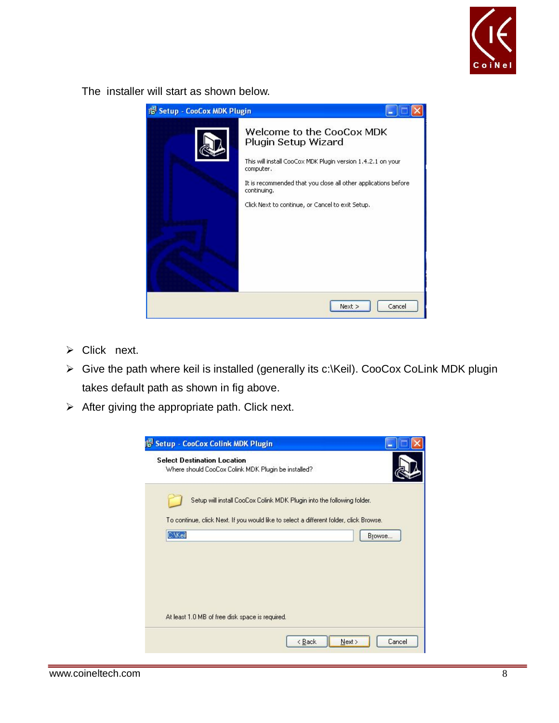

The installer will start as shown below.



- $\triangleright$  Click next.
- Give the path where keil is installed (generally its c:\Keil). CooCox CoLink MDK plugin takes default path as shown in fig above.
- $\triangleright$  After giving the appropriate path. Click next.

| <b>Setup - CooCox Colink MDK Plugin</b><br><b>Select Destination Location</b><br>Where should CooCox Colink MDK Plugin be installed? |                                                                                        |
|--------------------------------------------------------------------------------------------------------------------------------------|----------------------------------------------------------------------------------------|
|                                                                                                                                      |                                                                                        |
|                                                                                                                                      | Setup will install CooCox Colink MDK Plugin into the following folder.                 |
|                                                                                                                                      | To continue, click Next. If you would like to select a different folder, click Browse. |
| C:\Keil                                                                                                                              | Browse                                                                                 |
|                                                                                                                                      |                                                                                        |
|                                                                                                                                      |                                                                                        |
|                                                                                                                                      |                                                                                        |
|                                                                                                                                      |                                                                                        |
|                                                                                                                                      |                                                                                        |
| At least 1.0 MB of free disk space is required.                                                                                      |                                                                                        |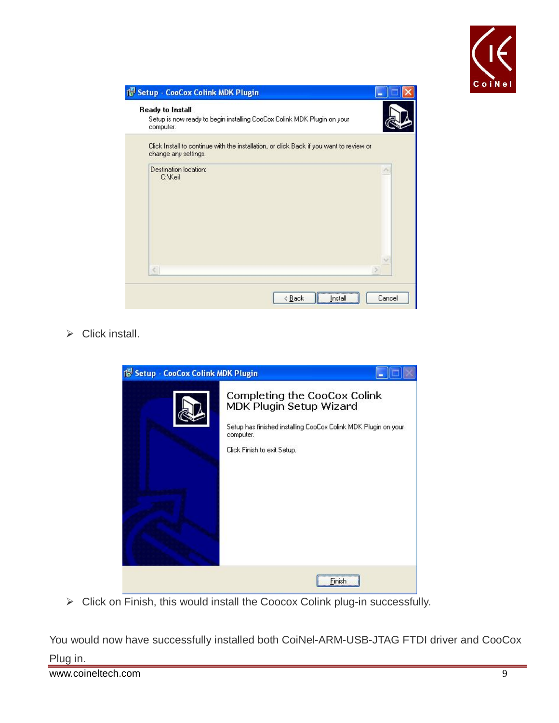

| Ready to Install<br>computer.    | Setup is now ready to begin installing CooCox Colink MDK Plugin on your                 |
|----------------------------------|-----------------------------------------------------------------------------------------|
| change any settings.             | Click Install to continue with the installation, or click Back if you want to review or |
| Destination location:<br>C:\Keil |                                                                                         |
| $\leq$                           |                                                                                         |

 $\triangleright$  Click install.



> Click on Finish, this would install the Coocox Colink plug-in successfully.

You would now have successfully installed both CoiNel-ARM-USB-JTAG FTDI driver and CooCox Plug in.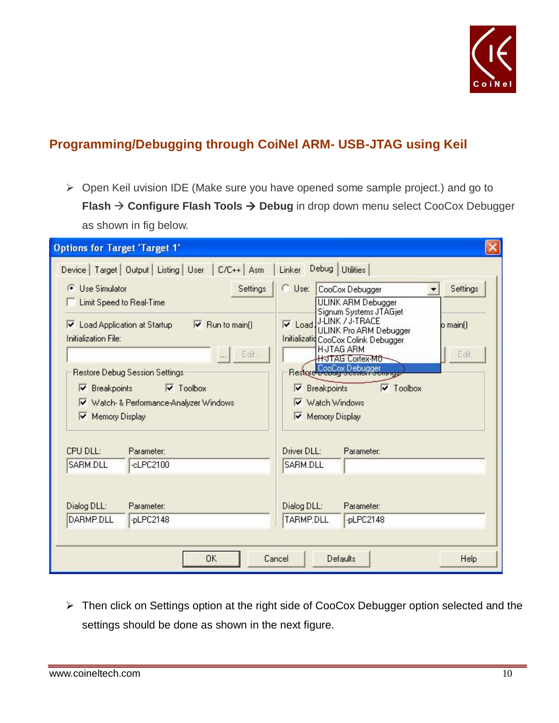

## **Programming/Debugging through CoiNel ARM- USB-JTAG using Keil**

 Open Keil uvision IDE (Make sure you have opened some sample project.) and go to **Flash → Configure Flash Tools → Debug in drop down menu select CooCox Debugger** as shown in fig below.

| <b>Options for Target 'Target 1'</b>                                                                                                                       |                                                                                                                                                                     |  |  |  |  |
|------------------------------------------------------------------------------------------------------------------------------------------------------------|---------------------------------------------------------------------------------------------------------------------------------------------------------------------|--|--|--|--|
| Device   Target   Output   Listing   User   C/C++   Asm                                                                                                    | Linker Debug Utilities                                                                                                                                              |  |  |  |  |
| $\sigma$<br><b>Use Simulator</b><br>Settings<br>Limit Speed to Real-Time                                                                                   | $\cap$ Use:<br>Settings<br>CooCox Debugger<br>ULINK ARM Debugger<br>Signum Systems JTAGjet                                                                          |  |  |  |  |
| └ Load Application at Startup<br>$\triangledown$ Run to main()<br>Initialization File:<br>Edit<br>$\ddots$                                                 | J-LINK / J-TRACE<br>$\nabla$ Load.<br>$o$ main()<br>ULINK Pro ARM Debugger<br>Initializatid CooCox Colink Debugger<br><b>HJTAG ARM</b><br>Edit<br>H JTAG Cortex-MO- |  |  |  |  |
| Restore Debug Session Settings<br>$\triangledown$ Toolbox<br>$\nabla$ Breakpoints<br>V Watch- & Performance-Analyzer Windows<br><b>Memory Display</b><br>M | Restore CooCox Debugger<br><b>AMILIAN</b><br>$\triangledown$ Toolbox<br><b>Breakpoints</b><br>⊽<br>Watch Windows<br>⊽<br>Memory Display                             |  |  |  |  |
| CPU DLL:<br>Parameter:                                                                                                                                     | Driver DLL:<br>Parameter:                                                                                                                                           |  |  |  |  |
| SARM.DLL<br>$-c$ LPC2100                                                                                                                                   | SARM.DLL                                                                                                                                                            |  |  |  |  |
| Dialog DLL:<br>Parameter:<br>DARMP.DLL<br>-pLPC2148                                                                                                        | Dialog DLL:<br>Parameter:<br>TARMP.DLL<br>-pLPC2148                                                                                                                 |  |  |  |  |
| OΚ<br>Cancel                                                                                                                                               | <b>Defaults</b><br>Help                                                                                                                                             |  |  |  |  |

> Then click on Settings option at the right side of CooCox Debugger option selected and the settings should be done as shown in the next figure.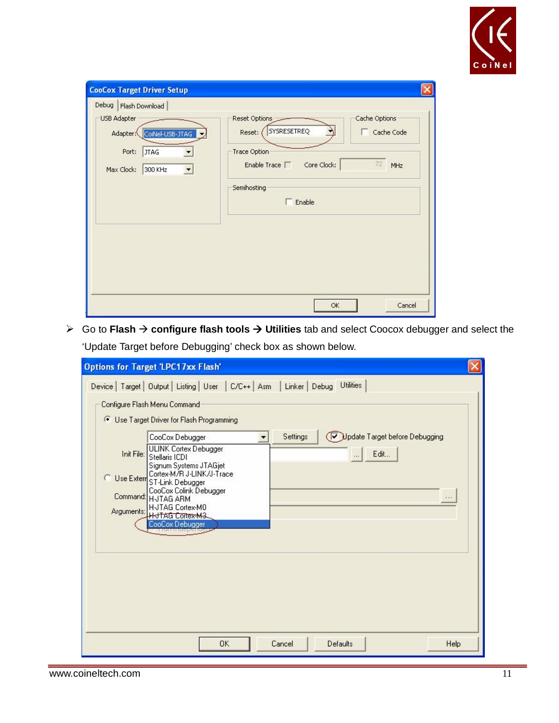

| USB Adapter<br>CoiNel-USB-JTAG<br>Adapter:                            | Cache Options<br>Reset Options<br>SYSRESETREQ<br>Cache Code<br>Reset: |
|-----------------------------------------------------------------------|-----------------------------------------------------------------------|
| Port:<br><b>JTAG</b><br>Max Clock:<br>300 KHz<br>$\blacktriangledown$ | Trace Option<br>$72\,$<br>Core Clock:<br>Enable Trace $\Gamma$<br>MHz |
|                                                                       | Semihosting<br>$5$ Enable                                             |
|                                                                       |                                                                       |
|                                                                       |                                                                       |
|                                                                       |                                                                       |

 Go to **Flash configure flash tools Utilities** tab and select Coocox debugger and select the 'Update Target before Debugging' check box as shown below.

| <b>Options for Target 'LPC17xx Flash'</b>                                                                                                                |
|----------------------------------------------------------------------------------------------------------------------------------------------------------|
| Device   Target   Output   Listing   User   C/C++   Asm   Linker   Debug Utilities                                                                       |
| Configure Flash Menu Command                                                                                                                             |
| <sup>6</sup> Use Target Driver for Flash Programming                                                                                                     |
| Update Target before Debugging<br>Settings<br>CooCox Debugger<br>ULINK Cortex Debugger<br>Edit<br>Init File:<br>Stellaris ICDI<br>Signum Systems JTAGjet |
| Cortex-M/R J-LINK/J-Trace<br>C.<br>Use Extern<br>ST-Link Debugger<br>CooCox Colink Debugger<br>Command: HJTAG ARM<br>H-JTAG Cortex-M0                    |
| Arguments:<br><b>HITAG Cortex-M3.</b><br>CooCox Debugger                                                                                                 |
|                                                                                                                                                          |
|                                                                                                                                                          |
|                                                                                                                                                          |
| <b>OK</b><br>Cancel<br>Defaults<br>Help                                                                                                                  |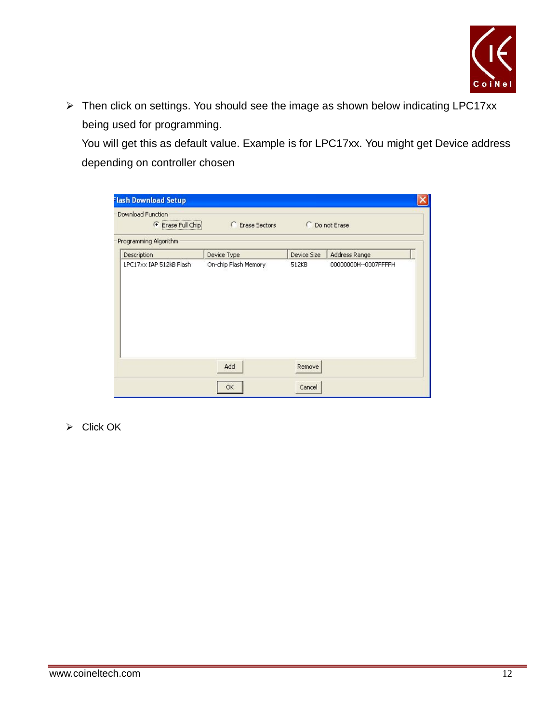

▶ Then click on settings. You should see the image as shown below indicating LPC17xx being used for programming.

You will get this as default value. Example is for LPC17xx. You might get Device address depending on controller chosen

| Programming Algorithm                  |                      |             |                      |
|----------------------------------------|----------------------|-------------|----------------------|
| Description<br>LPC17xx IAP 512kB Flash |                      |             |                      |
|                                        | Device Type          | Device Size | Address Range        |
|                                        | On-chip Flash Memory | 512KB       | 00000000H--0007FFFFH |
|                                        | Add                  | Remove      |                      |

 $\triangleright$  Click OK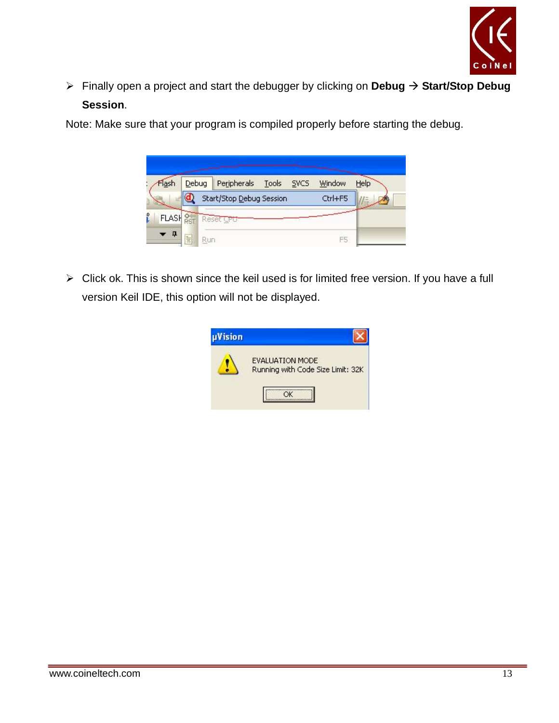

 Finally open a project and start the debugger by clicking on **Debug Start/Stop Debug Session**.

Note: Make sure that your program is compiled properly before starting the debug.

| Flash        | Debug     | Peripherals Tools SVCS   |  | Window  | Help |
|--------------|-----------|--------------------------|--|---------|------|
|              |           | Start/Stop Debug Session |  | Ctrl+F5 |      |
| <b>FLASH</b> |           | Reset CPU                |  |         |      |
| п            | È<br>Run- |                          |  | F5      |      |

 $\triangleright$  Click ok. This is shown since the keil used is for limited free version. If you have a full version Keil IDE, this option will not be displayed.